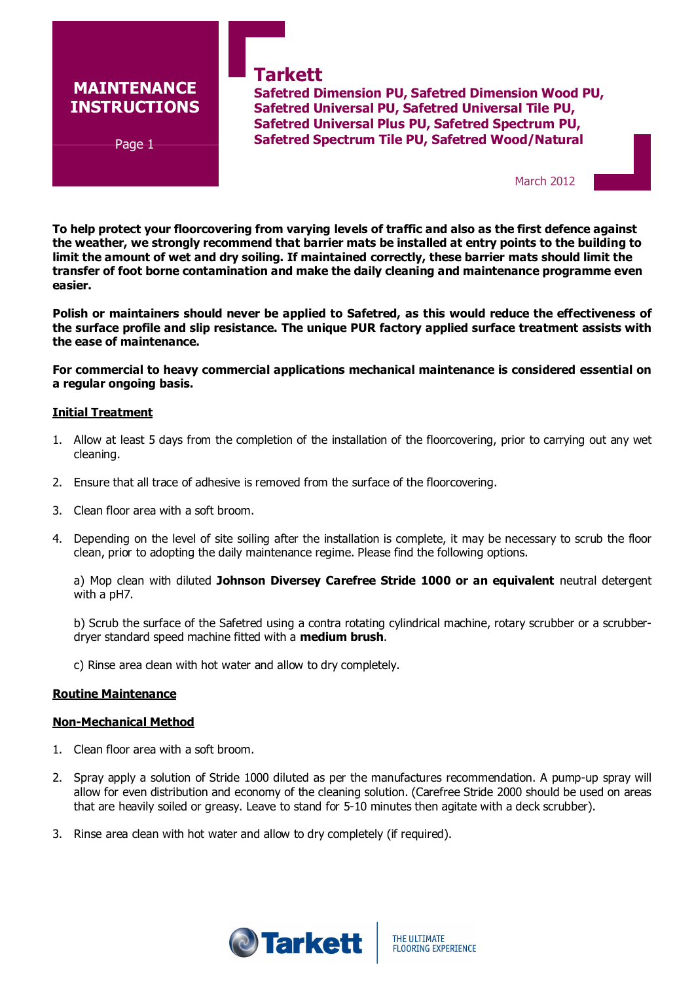# MAINTENANCE INSTRUCTIONS

 $\mathbf{r}$ 

Page 1

**Tarkett** Safetred Dimension PU, Safetred Dimension Wood PU, Safetred Universal PU, Safetred Universal Tile PU, Safetred Universal Plus PU, Safetred Spectrum PU, Safetred Spectrum Tile PU, Safetred Wood/Natural

March 2012

To help protect your floorcovering from varying levels of traffic and also as the first defence against the weather, we strongly recommend that barrier mats be installed at entry points to the building to limit the amount of wet and dry soiling. If maintained correctly, these barrier mats should limit the transfer of foot borne contamination and make the daily cleaning and maintenance programme even easier.

Polish or maintainers should never be applied to Safetred, as this would reduce the effectiveness of the surface profile and slip resistance. The unique PUR factory applied surface treatment assists with the ease of maintenance.

For commercial to heavy commercial applications mechanical maintenance is considered essential on a regular ongoing basis.

### Initial Treatment

- 1. Allow at least 5 days from the completion of the installation of the floorcovering, prior to carrying out any wet cleaning.
- 2. Ensure that all trace of adhesive is removed from the surface of the floorcovering.
- 3. Clean floor area with a soft broom.
- 4. Depending on the level of site soiling after the installation is complete, it may be necessary to scrub the floor clean, prior to adopting the daily maintenance regime. Please find the following options.

a) Mop clean with diluted Johnson Diversey Carefree Stride 1000 or an equivalent neutral detergent with a pH7.

b) Scrub the surface of the Safetred using a contra rotating cylindrical machine, rotary scrubber or a scrubberdryer standard speed machine fitted with a **medium brush**.

c) Rinse area clean with hot water and allow to dry completely.

### Routine Maintenance

### Non-Mechanical Method

- 1. Clean floor area with a soft broom.
- 2. Spray apply a solution of Stride 1000 diluted as per the manufactures recommendation. A pump-up spray will allow for even distribution and economy of the cleaning solution. (Carefree Stride 2000 should be used on areas that are heavily soiled or greasy. Leave to stand for 5-10 minutes then agitate with a deck scrubber).
- 3. Rinse area clean with hot water and allow to dry completely (if required).